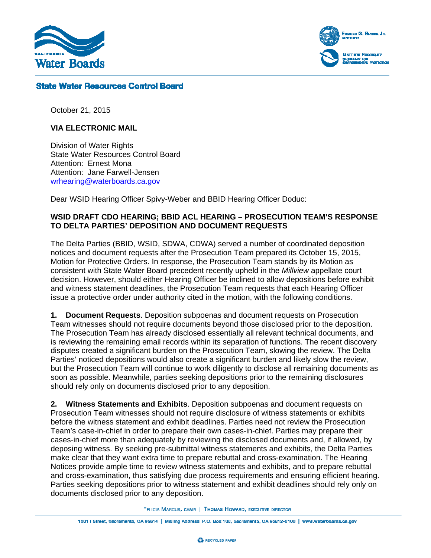

Edmund G. Brown Jr. **MATTHEW FLOORIQUEZ** 

### **State Water Resources Control Board**

October 21, 2015

#### **VIA ELECTRONIC MAIL**

Division of Water Rights State Water Resources Control Board Attention: Ernest Mona Attention: Jane Farwell-Jensen wrhearing@waterboards.ca.gov

Dear WSID Hearing Officer Spivy-Weber and BBID Hearing Officer Doduc:

### **WSID DRAFT CDO HEARING; BBID ACL HEARING – PROSECUTION TEAM'S RESPONSE TO DELTA PARTIES' DEPOSITION AND DOCUMENT REQUESTS**

The Delta Parties (BBID, WSID, SDWA, CDWA) served a number of coordinated deposition notices and document requests after the Prosecution Team prepared its October 15, 2015, Motion for Protective Orders. In response, the Prosecution Team stands by its Motion as consistent with State Water Board precedent recently upheld in the *Millview* appellate court decision. However, should either Hearing Officer be inclined to allow depositions before exhibit and witness statement deadlines, the Prosecution Team requests that each Hearing Officer issue a protective order under authority cited in the motion, with the following conditions.

**1. Document Requests**. Deposition subpoenas and document requests on Prosecution Team witnesses should not require documents beyond those disclosed prior to the deposition. The Prosecution Team has already disclosed essentially all relevant technical documents, and is reviewing the remaining email records within its separation of functions. The recent discovery disputes created a significant burden on the Prosecution Team, slowing the review. The Delta Parties' noticed depositions would also create a significant burden and likely slow the review, but the Prosecution Team will continue to work diligently to disclose all remaining documents as soon as possible. Meanwhile, parties seeking depositions prior to the remaining disclosures should rely only on documents disclosed prior to any deposition.

**2. Witness Statements and Exhibits**. Deposition subpoenas and document requests on Prosecution Team witnesses should not require disclosure of witness statements or exhibits before the witness statement and exhibit deadlines. Parties need not review the Prosecution Team's case-in-chief in order to prepare their own cases-in-chief. Parties may prepare their cases-in-chief more than adequately by reviewing the disclosed documents and, if allowed, by deposing witness. By seeking pre-submittal witness statements and exhibits, the Delta Parties make clear that they want extra time to prepare rebuttal and cross-examination. The Hearing Notices provide ample time to review witness statements and exhibits, and to prepare rebuttal and cross-examination, thus satisfying due process requirements and ensuring efficient hearing. Parties seeking depositions prior to witness statement and exhibit deadlines should rely only on documents disclosed prior to any deposition.

FELICIA MARCUS, CHAIR | THOMAS HOWARD, EXECUTIVE DIRECTOR

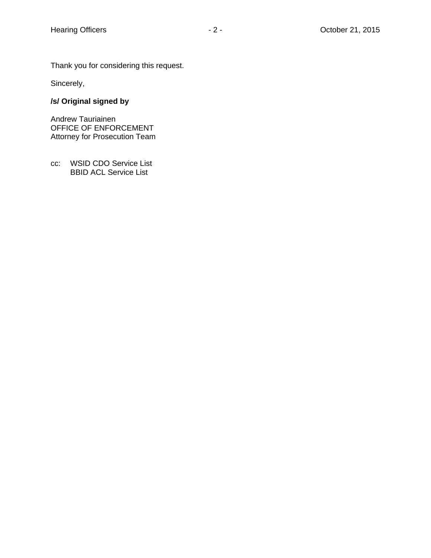Thank you for considering this request.

Sincerely,

# **/s/ Original signed by**

Andrew Tauriainen OFFICE OF ENFORCEMENT Attorney for Prosecution Team

cc: WSID CDO Service List BBID ACL Service List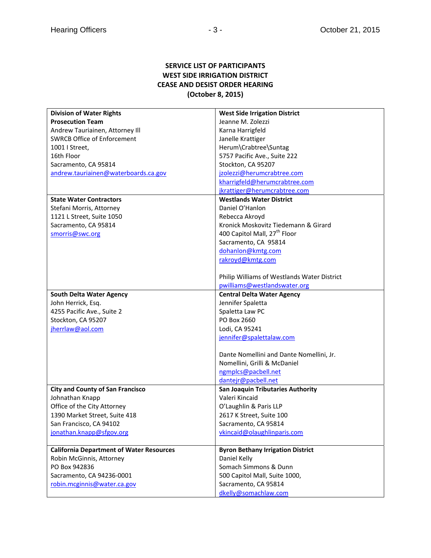## **SERVICE LIST OF PARTICIPANTS WEST SIDE IRRIGATION DISTRICT CEASE AND DESIST ORDER HEARING (October 8, 2015)**

| <b>Division of Water Rights</b>                 | <b>West Side Irrigation District</b>        |
|-------------------------------------------------|---------------------------------------------|
| <b>Prosecution Team</b>                         | Jeanne M. Zolezzi                           |
| Andrew Tauriainen, Attorney III                 | Karna Harrigfeld                            |
| <b>SWRCB Office of Enforcement</b>              | Janelle Krattiger                           |
| 1001   Street.                                  | Herum\Crabtree\Suntag                       |
| 16th Floor                                      | 5757 Pacific Ave., Suite 222                |
| Sacramento, CA 95814                            | Stockton, CA 95207                          |
| andrew.tauriainen@waterboards.ca.gov            | jzolezzi@herumcrabtree.com                  |
|                                                 | kharrigfeld@herumcrabtree.com               |
|                                                 | jkrattiger@herumcrabtree.com                |
| <b>State Water Contractors</b>                  | <b>Westlands Water District</b>             |
| Stefani Morris, Attorney                        | Daniel O'Hanlon                             |
| 1121 L Street, Suite 1050                       | Rebecca Akroyd                              |
| Sacramento, CA 95814                            | Kronick Moskovitz Tiedemann & Girard        |
| smorris@swc.org                                 | 400 Capitol Mall, 27 <sup>th</sup> Floor    |
|                                                 | Sacramento, CA 95814                        |
|                                                 | dohanlon@kmtg.com                           |
|                                                 | rakroyd@kmtg.com                            |
|                                                 |                                             |
|                                                 | Philip Williams of Westlands Water District |
|                                                 | pwilliams@westlandswater.org                |
| <b>South Delta Water Agency</b>                 | <b>Central Delta Water Agency</b>           |
| John Herrick, Esq.                              | Jennifer Spaletta                           |
| 4255 Pacific Ave., Suite 2                      | Spaletta Law PC                             |
| Stockton, CA 95207                              | PO Box 2660                                 |
| jherrlaw@aol.com                                | Lodi, CA 95241                              |
|                                                 | jennifer@spalettalaw.com                    |
|                                                 |                                             |
|                                                 | Dante Nomellini and Dante Nomellini, Jr.    |
|                                                 | Nomellini, Grilli & McDaniel                |
|                                                 | ngmplcs@pacbell.net                         |
|                                                 | dantejr@pacbell.net                         |
| <b>City and County of San Francisco</b>         | San Joaquin Tributaries Authority           |
| Johnathan Knapp                                 | Valeri Kincaid                              |
| Office of the City Attorney                     | O'Laughlin & Paris LLP                      |
| 1390 Market Street, Suite 418                   | 2617 K Street, Suite 100                    |
| San Francisco, CA 94102                         | Sacramento, CA 95814                        |
| jonathan.knapp@sfgov.org                        | vkincaid@olaughlinparis.com                 |
|                                                 |                                             |
| <b>California Department of Water Resources</b> | <b>Byron Bethany Irrigation District</b>    |
| Robin McGinnis, Attorney                        | Daniel Kelly                                |
| PO Box 942836                                   | Somach Simmons & Dunn                       |
| Sacramento, CA 94236-0001                       | 500 Capitol Mall, Suite 1000,               |
| robin.mcginnis@water.ca.gov                     | Sacramento, CA 95814                        |
|                                                 | dkelly@somachlaw.com                        |